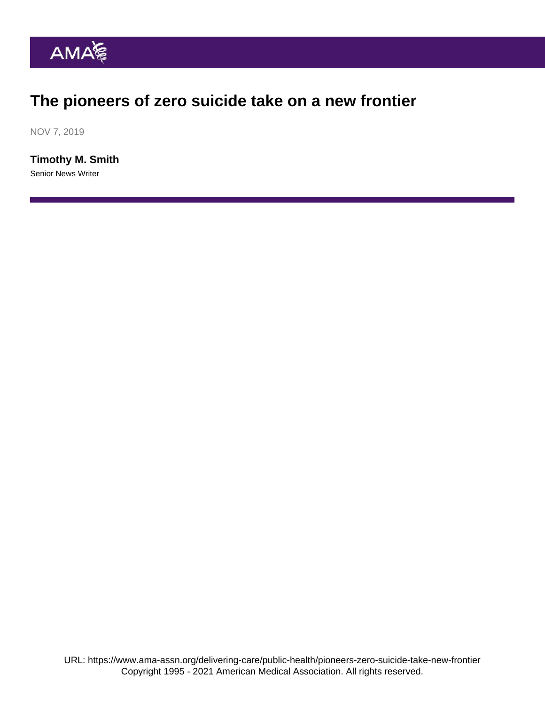## The pioneers of zero suicide take on a new frontier

NOV 7, 2019

[Timothy M. Smith](https://www.ama-assn.org/news-leadership-viewpoints/authors-news-leadership-viewpoints/timothy-m-smith) Senior News Writer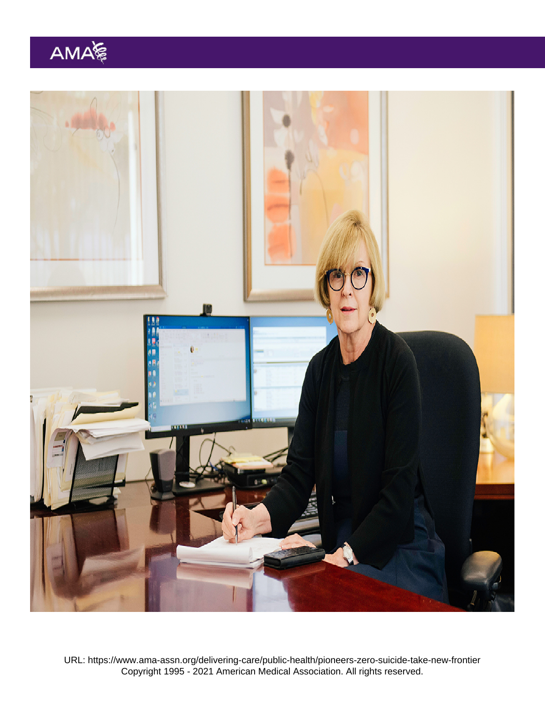URL: <https://www.ama-assn.org/delivering-care/public-health/pioneers-zero-suicide-take-new-frontier> Copyright 1995 - 2021 American Medical Association. All rights reserved.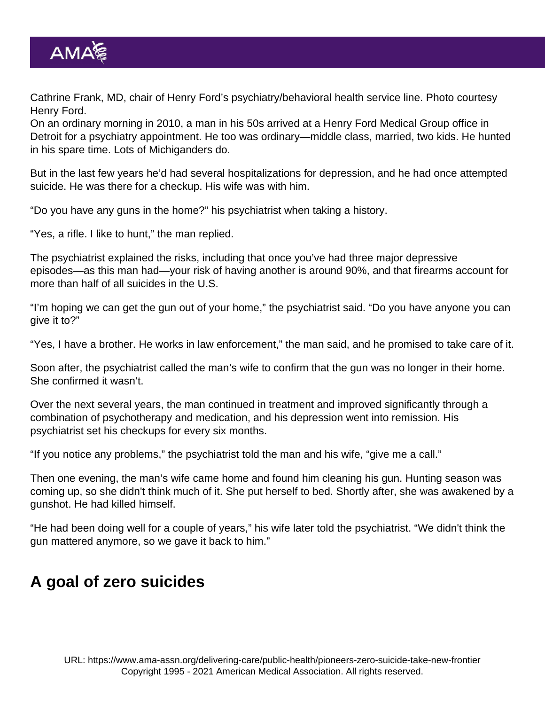Cathrine Frank, MD, chair of Henry Ford's psychiatry/behavioral health service line. Photo courtesy Henry Ford.

On an ordinary morning in 2010, a man in his 50s arrived at a Henry Ford Medical Group office in Detroit for a psychiatry appointment. He too was ordinary—middle class, married, two kids. He hunted in his spare time. Lots of Michiganders do.

But in the last few years he'd had several hospitalizations for depression, and he had once attempted suicide. He was there for a checkup. His wife was with him.

"Do you have any guns in the home?" his psychiatrist when taking a history.

"Yes, a rifle. I like to hunt," the man replied.

The psychiatrist explained the risks, including that once you've had three major depressive episodes—as this man had—your risk of having another is around 90%, and that firearms account for more than half of all suicides in the U.S.

"I'm hoping we can get the gun out of your home," the psychiatrist said. "Do you have anyone you can give it to?"

"Yes, I have a brother. He works in law enforcement," the man said, and he promised to take care of it.

Soon after, the psychiatrist called the man's wife to confirm that the gun was no longer in their home. She confirmed it wasn't.

Over the next several years, the man continued in treatment and improved significantly through a combination of psychotherapy and medication, and his depression went into remission. His psychiatrist set his checkups for every six months.

"If you notice any problems," the psychiatrist told the man and his wife, "give me a call."

Then one evening, the man's wife came home and found him cleaning his gun. Hunting season was coming up, so she didn't think much of it. She put herself to bed. Shortly after, she was awakened by a gunshot. He had killed himself.

"He had been doing well for a couple of years," his wife later told the psychiatrist. "We didn't think the gun mattered anymore, so we gave it back to him."

## A goal of zero suicides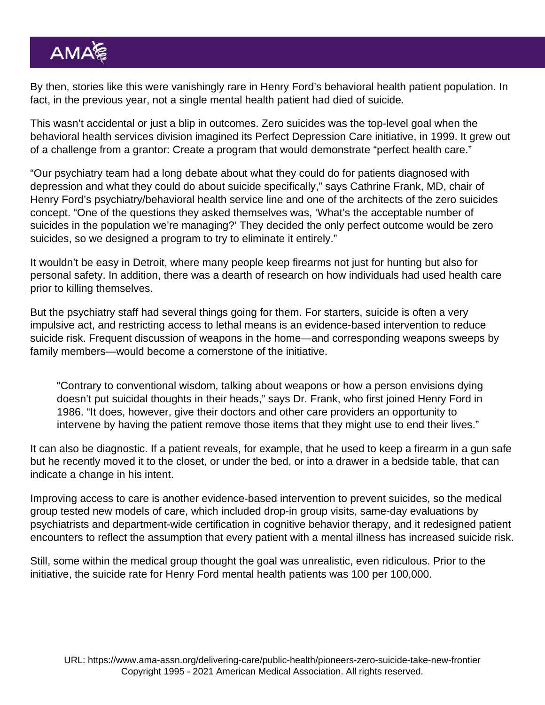By then, stories like this were vanishingly rare in Henry Ford's behavioral health patient population. In fact, in the previous year, not a single mental health patient had died of suicide.

This wasn't accidental or just a blip in outcomes. Zero suicides was the top-level goal when the behavioral health services division imagined its Perfect Depression Care initiative, in 1999. It grew out of a challenge from a grantor: Create a program that would demonstrate "perfect health care."

"Our psychiatry team had a long debate about what they could do for patients diagnosed with depression and what they could do about suicide specifically," says Cathrine Frank, MD, chair of Henry Ford's psychiatry/behavioral health service line and one of the architects of the zero suicides concept. "One of the questions they asked themselves was, 'What's the acceptable number of suicides in the population we're managing?' They decided the only perfect outcome would be zero suicides, so we designed a program to try to eliminate it entirely."

It wouldn't be easy in Detroit, where many people keep firearms not just for hunting but also for personal safety. In addition, there was a dearth of research on how individuals had used health care prior to killing themselves.

But the psychiatry staff had several things going for them. For starters, suicide is often a very impulsive act, and restricting access to lethal means is an evidence-based intervention to reduce suicide risk. Frequent discussion of weapons in the home—and corresponding weapons sweeps by family members—would become a cornerstone of the initiative.

"Contrary to conventional wisdom, talking about weapons or how a person envisions dying doesn't put suicidal thoughts in their heads," says Dr. Frank, who first joined Henry Ford in 1986. "It does, however, give their doctors and other care providers an opportunity to intervene by having the patient remove those items that they might use to end their lives."

It can also be diagnostic. If a patient reveals, for example, that he used to keep a firearm in a gun safe but he recently moved it to the closet, or under the bed, or into a drawer in a bedside table, that can indicate a change in his intent.

Improving access to care is another evidence-based intervention to prevent suicides, so the medical group tested new models of care, which included drop-in group visits, same-day evaluations by psychiatrists and department-wide certification in cognitive behavior therapy, and it redesigned patient encounters to reflect the assumption that every patient with a mental illness has increased suicide risk.

Still, some within the medical group thought the goal was unrealistic, even ridiculous. Prior to the initiative, the suicide rate for Henry Ford mental health patients was 100 per 100,000.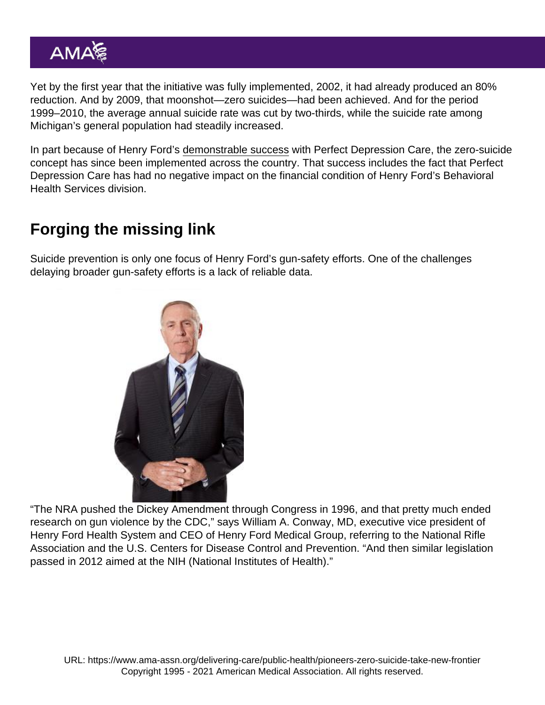Yet by the first year that the initiative was fully implemented, 2002, it had already produced an 80% reduction. And by 2009, that moonshot—zero suicides—had been achieved. And for the period 1999–2010, the average annual suicide rate was cut by two-thirds, while the suicide rate among Michigan's general population had steadily increased.

In part because of Henry Ford's [demonstrable success](https://jamanetwork.com/journals/jamapsychiatry/fullarticle/2091661) with Perfect Depression Care, the zero-suicide concept has since been implemented across the country. That success includes the fact that Perfect Depression Care has had no negative impact on the financial condition of Henry Ford's Behavioral Health Services division.

## Forging the missing link

Suicide prevention is only one focus of Henry Ford's gun-safety efforts. One of the challenges delaying broader gun-safety efforts is a lack of reliable data.

"The NRA pushed the Dickey Amendment through Congress in 1996, and that pretty much ended research on gun violence by the CDC," says William A. Conway, MD, executive vice president of Henry Ford Health System and CEO of Henry Ford Medical Group, referring to the National Rifle Association and the U.S. Centers for Disease Control and Prevention. "And then similar legislation passed in 2012 aimed at the NIH (National Institutes of Health)."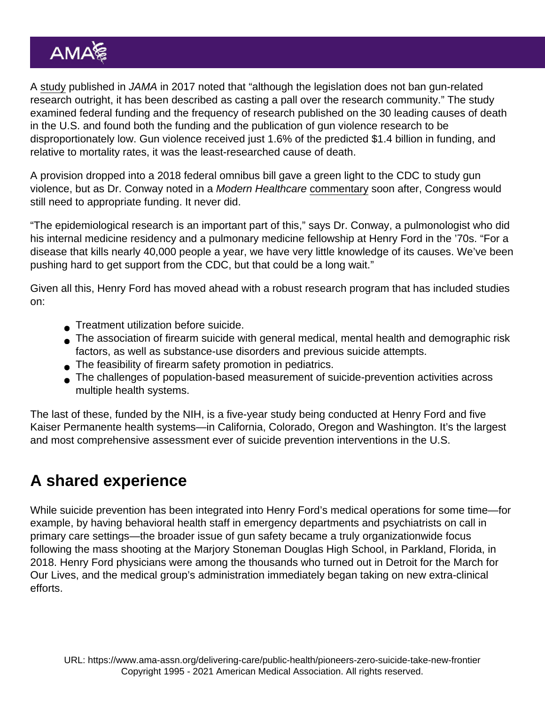A [study](https://jamanetwork.com/journals/jama/fullarticle/2595514) published in JAMA in 2017 noted that "although the legislation does not ban gun-related research outright, it has been described as casting a pall over the research community." The study examined federal funding and the frequency of research published on the 30 leading causes of death in the U.S. and found both the funding and the publication of gun violence research to be disproportionately low. Gun violence received just 1.6% of the predicted \$1.4 billion in funding, and relative to mortality rates, it was the least-researched cause of death.

A provision dropped into a 2018 federal omnibus bill gave a green light to the CDC to study gun violence, but as Dr. Conway noted in a Modern Healthcare [commentary](https://www.modernhealthcare.com/article/20180328/NEWS/180329907/guest-commentary-where-s-the-funding-to-support-cdc-research-into-gun-violence) soon after, Congress would still need to appropriate funding. It never did.

"The epidemiological research is an important part of this," says Dr. Conway, a pulmonologist who did his internal medicine residency and a pulmonary medicine fellowship at Henry Ford in the '70s. "For a disease that kills nearly 40,000 people a year, we have very little knowledge of its causes. We've been pushing hard to get support from the CDC, but that could be a long wait."

Given all this, Henry Ford has moved ahead with a robust research program that has included studies on:

- **Treatment utilization before suicide.**
- The association of firearm suicide with general medical, mental health and demographic risk factors, as well as substance-use disorders and previous suicide attempts.
- The feasibility of firearm safety promotion in pediatrics.
- The challenges of population-based measurement of suicide-prevention activities across multiple health systems.

The last of these, funded by the NIH, is a five-year study being conducted at Henry Ford and five Kaiser Permanente health systems—in California, Colorado, Oregon and Washington. It's the largest and most comprehensive assessment ever of suicide prevention interventions in the U.S.

## A shared experience

While suicide prevention has been integrated into Henry Ford's medical operations for some time—for example, by having behavioral health staff in emergency departments and psychiatrists on call in primary care settings—the broader issue of gun safety became a truly organizationwide focus following the mass shooting at the Marjory Stoneman Douglas High School, in Parkland, Florida, in 2018. Henry Ford physicians were among the thousands who turned out in Detroit for the March for Our Lives, and the medical group's administration immediately began taking on new extra-clinical efforts.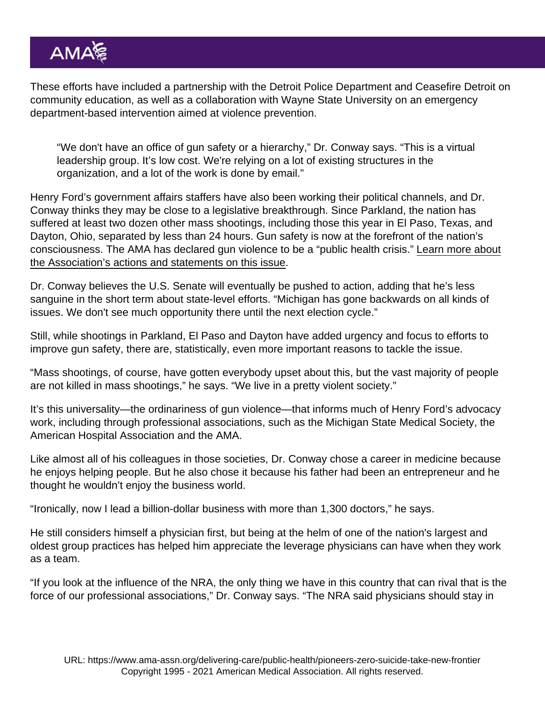These efforts have included a partnership with the Detroit Police Department and Ceasefire Detroit on community education, as well as a collaboration with Wayne State University on an emergency department-based intervention aimed at violence prevention.

"We don't have an office of gun safety or a hierarchy," Dr. Conway says. "This is a virtual leadership group. It's low cost. We're relying on a lot of existing structures in the organization, and a lot of the work is done by email."

Henry Ford's government affairs staffers have also been working their political channels, and Dr. Conway thinks they may be close to a legislative breakthrough. Since Parkland, the nation has suffered at least two dozen other mass shootings, including those this year in El Paso, Texas, and Dayton, Ohio, separated by less than 24 hours. Gun safety is now at the forefront of the nation's consciousness. The AMA has declared gun violence to be a "public health crisis." [Learn more about](https://www.ama-assn.org/topics/gun-violence) [the Association's actions and statements on this issue.](https://www.ama-assn.org/topics/gun-violence)

Dr. Conway believes the U.S. Senate will eventually be pushed to action, adding that he's less sanguine in the short term about state-level efforts. "Michigan has gone backwards on all kinds of issues. We don't see much opportunity there until the next election cycle."

Still, while shootings in Parkland, El Paso and Dayton have added urgency and focus to efforts to improve gun safety, there are, statistically, even more important reasons to tackle the issue.

"Mass shootings, of course, have gotten everybody upset about this, but the vast majority of people are not killed in mass shootings," he says. "We live in a pretty violent society."

It's this universality—the ordinariness of gun violence—that informs much of Henry Ford's advocacy work, including through professional associations, such as the Michigan State Medical Society, the American Hospital Association and the AMA.

Like almost all of his colleagues in those societies, Dr. Conway chose a career in medicine because he enjoys helping people. But he also chose it because his father had been an entrepreneur and he thought he wouldn't enjoy the business world.

"Ironically, now I lead a billion-dollar business with more than 1,300 doctors," he says.

He still considers himself a physician first, but being at the helm of one of the nation's largest and oldest group practices has helped him appreciate the leverage physicians can have when they work as a team.

"If you look at the influence of the NRA, the only thing we have in this country that can rival that is the force of our professional associations," Dr. Conway says. "The NRA said physicians should stay in